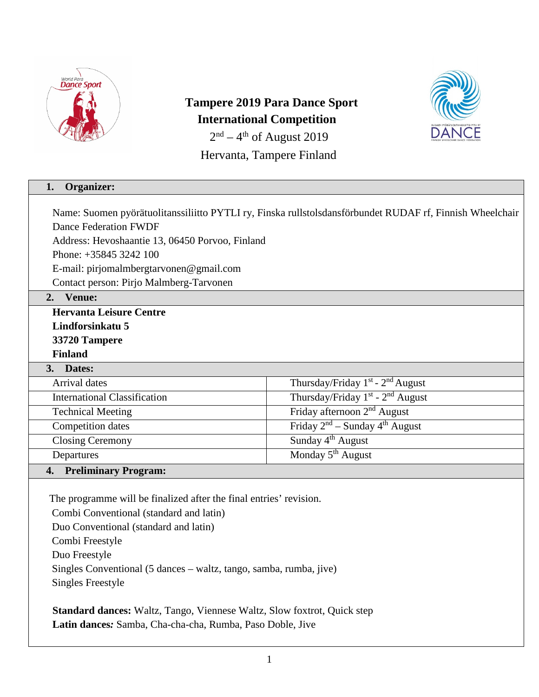

# **Tampere 2019 Para Dance Sport International Competition**



 $2<sup>nd</sup> - 4<sup>th</sup>$  of August 2019

Hervanta, Tampere Finland

| 1.<br>Organizer:                                                  |                                                                                                          |  |  |  |
|-------------------------------------------------------------------|----------------------------------------------------------------------------------------------------------|--|--|--|
|                                                                   | Name: Suomen pyörätuolitanssiliitto PYTLI ry, Finska rullstolsdansförbundet RUDAF rf, Finnish Wheelchair |  |  |  |
| <b>Dance Federation FWDF</b>                                      |                                                                                                          |  |  |  |
| Address: Hevoshaantie 13, 06450 Porvoo, Finland                   |                                                                                                          |  |  |  |
| Phone: $+358453242100$                                            |                                                                                                          |  |  |  |
| E-mail: pirjomalmbergtaryonen@gmail.com                           |                                                                                                          |  |  |  |
| Contact person: Pirjo Malmberg-Tarvonen                           |                                                                                                          |  |  |  |
| 2. Venue:                                                         |                                                                                                          |  |  |  |
| <b>Hervanta Leisure Centre</b>                                    |                                                                                                          |  |  |  |
| Lindforsinkatu 5                                                  |                                                                                                          |  |  |  |
| 33720 Tampere                                                     |                                                                                                          |  |  |  |
| <b>Finland</b>                                                    |                                                                                                          |  |  |  |
| 3.<br>Dates:                                                      |                                                                                                          |  |  |  |
| Arrival dates                                                     | Thursday/Friday $1st$ - $2nd$ August                                                                     |  |  |  |
| <b>International Classification</b>                               | Thursday/Friday $1st$ - $2nd$ August                                                                     |  |  |  |
| <b>Technical Meeting</b>                                          | Friday afternoon 2 <sup>nd</sup> August                                                                  |  |  |  |
| Competition dates                                                 | Friday $2^{nd}$ – Sunday $4^{th}$ August                                                                 |  |  |  |
| <b>Closing Ceremony</b>                                           | Sunday 4 <sup>th</sup> August                                                                            |  |  |  |
| Departures                                                        | Monday 5 <sup>th</sup> August                                                                            |  |  |  |
| 4. Preliminary Program:                                           |                                                                                                          |  |  |  |
| The programme will be finalized after the final entries' revision |                                                                                                          |  |  |  |

The programme will be finalized after the final entries' revision.

Combi Conventional (standard and latin)

Duo Conventional (standard and latin)

Combi Freestyle

Duo Freestyle

Singles Conventional (5 dances – waltz, tango, samba, rumba, jive)

Singles Freestyle

**Standard dances:** Waltz, Tango, Viennese Waltz, Slow foxtrot, Quick step **Latin dances***:* Samba, Cha-cha-cha, Rumba, Paso Doble, Jive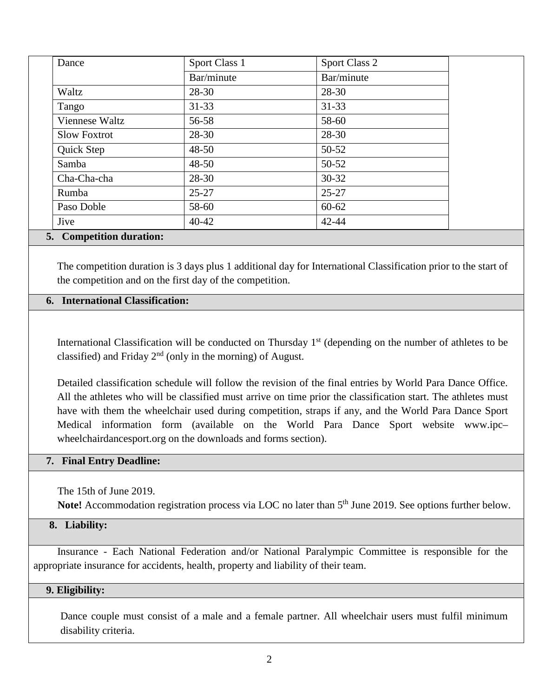|      | Dance               | Sport Class 1 | <b>Sport Class 2</b> |  |
|------|---------------------|---------------|----------------------|--|
|      |                     | Bar/minute    | Bar/minute           |  |
|      | Waltz               | 28-30         | 28-30                |  |
|      | Tango               | $31 - 33$     | $31 - 33$            |  |
|      | Viennese Waltz      | 56-58         | 58-60                |  |
|      | <b>Slow Foxtrot</b> | 28-30         | 28-30                |  |
|      | Quick Step          | $48 - 50$     | $50 - 52$            |  |
|      | Samba               | $48 - 50$     | $50 - 52$            |  |
|      | Cha-Cha-cha         | 28-30         | $30 - 32$            |  |
|      | Rumba               | $25 - 27$     | $25 - 27$            |  |
|      | Paso Doble          | 58-60         | $60 - 62$            |  |
| Jive |                     | $40 - 42$     | 42-44                |  |

#### **5. Competition duration:**

The competition duration is 3 days plus 1 additional day for International Classification prior to the start of the competition and on the first day of the competition.

# **6. International Classification:**

International Classification will be conducted on Thursday 1<sup>st</sup> (depending on the number of athletes to be classified) and Friday  $2<sup>nd</sup>$  (only in the morning) of August.

Detailed classification schedule will follow the revision of the final entries by World Para Dance Office. All the athletes who will be classified must arrive on time prior the classification start. The athletes must have with them the wheelchair used during competition, straps if any, and the World Para Dance Sport Medical information form (available on the World Para Dance Sport website www.ipc– wheelchairdancesport.org on the downloads and forms section).

#### **7. Final Entry Deadline:**

The 15th of June 2019.

Note! Accommodation registration process via LOC no later than 5<sup>th</sup> June 2019. See options further below.

# **8. Liability:**

 Insurance - Each National Federation and/or National Paralympic Committee is responsible for the appropriate insurance for accidents, health, property and liability of their team.

#### **9. Eligibility:**

Dance couple must consist of a male and a female partner. All wheelchair users must fulfil minimum disability criteria.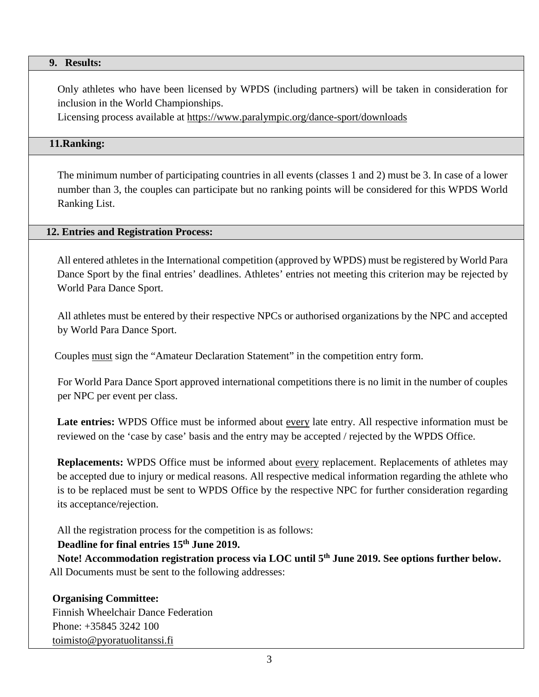#### **9. Results:**

Only athletes who have been licensed by WPDS (including partners) will be taken in consideration for inclusion in the World Championships.

Licensing process available at https://www.paralympic.org/dance-sport/downloads

#### **11.Ranking:**

The minimum number of participating countries in all events (classes 1 and 2) must be 3. In case of a lower number than 3, the couples can participate but no ranking points will be considered for this WPDS World Ranking List.

#### **12. Entries and Registration Process:**

All entered athletes in the International competition (approved by WPDS) must be registered by World Para Dance Sport by the final entries' deadlines. Athletes' entries not meeting this criterion may be rejected by World Para Dance Sport.

All athletes must be entered by their respective NPCs or authorised organizations by the NPC and accepted by World Para Dance Sport.

Couples must sign the "Amateur Declaration Statement" in the competition entry form.

For World Para Dance Sport approved international competitions there is no limit in the number of couples per NPC per event per class.

**Late entries:** WPDS Office must be informed about every late entry. All respective information must be reviewed on the 'case by case' basis and the entry may be accepted / rejected by the WPDS Office.

**Replacements:** WPDS Office must be informed about every replacement. Replacements of athletes may be accepted due to injury or medical reasons. All respective medical information regarding the athlete who is to be replaced must be sent to WPDS Office by the respective NPC for further consideration regarding its acceptance/rejection.

All the registration process for the competition is as follows:

#### **Deadline for final entries 15th June 2019.**

**Note! Accommodation registration process via LOC until 5th June 2019. See options further below.** All Documents must be sent to the following addresses:

**Organising Committee:** Finnish Wheelchair Dance Federation Phone: +35845 3242 100 [toimisto@pyoratuolitanssi.fi](mailto:toimisto@pyoratuolitanssi.fi)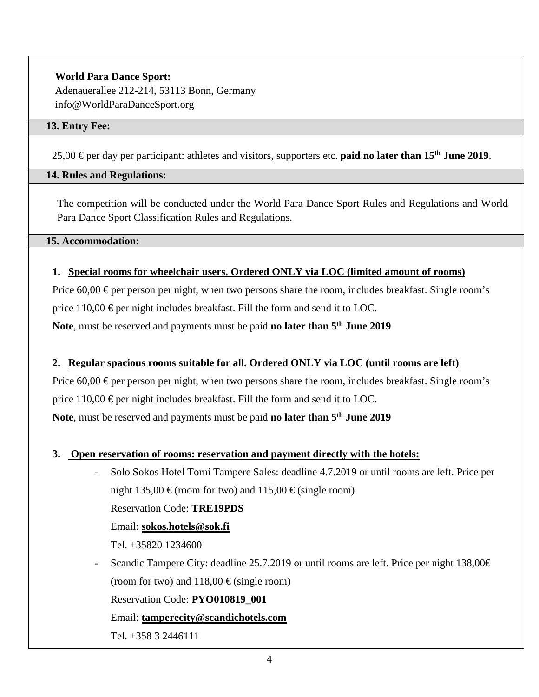# **World Para Dance Sport:**  Adenauerallee 212-214, 53113 Bonn, Germany info@WorldParaDanceSport.org

# **13. Entry Fee:**

25,00 € per day per participant: athletes and visitors, supporters etc. **paid no later than 15th June 2019**.

# **14. Rules and Regulations:**

The competition will be conducted under the World Para Dance Sport Rules and Regulations and World Para Dance Sport Classification Rules and Regulations.

#### **15. Accommodation:**

# **1. Special rooms for wheelchair users. Ordered ONLY via LOC (limited amount of rooms)**

Price  $60,00 \in \text{per person per night}$ , when two persons share the room, includes breakfast. Single room's price  $110,00$  € per night includes breakfast. Fill the form and send it to LOC.

**Note**, must be reserved and payments must be paid **no later than 5th June 2019**

# **2. Regular spacious rooms suitable for all. Ordered ONLY via LOC (until rooms are left)**

Price  $60,00 \in per$  person per night, when two persons share the room, includes breakfast. Single room's price  $110,00 \in \text{per night}$  includes breakfast. Fill the form and send it to LOC. **Note**, must be reserved and payments must be paid **no later than 5th June 2019**

# **3. Open reservation of rooms: reservation and payment directly with the hotels:**

- Solo Sokos Hotel Torni Tampere Sales: deadline 4.7.2019 or until rooms are left. Price per night 135,00 € (room for two) and 115,00 € (single room)

Reservation Code: **TRE19PDS** 

Email: **[sokos.hotels@sok.fi](mailto:sokos.hotels@sok.fi)**

Tel. +35820 1234600

Scandic Tampere City: deadline 25.7.2019 or until rooms are left. Price per night 138,00 $\in$ (room for two) and  $118,00 \in (single room)$ 

Reservation Code: **PYO010819\_001**

Email: **[tamperecity@scandichotels.com](mailto:tamperecity@scandichotels.com)**

Tel. +358 3 2446111